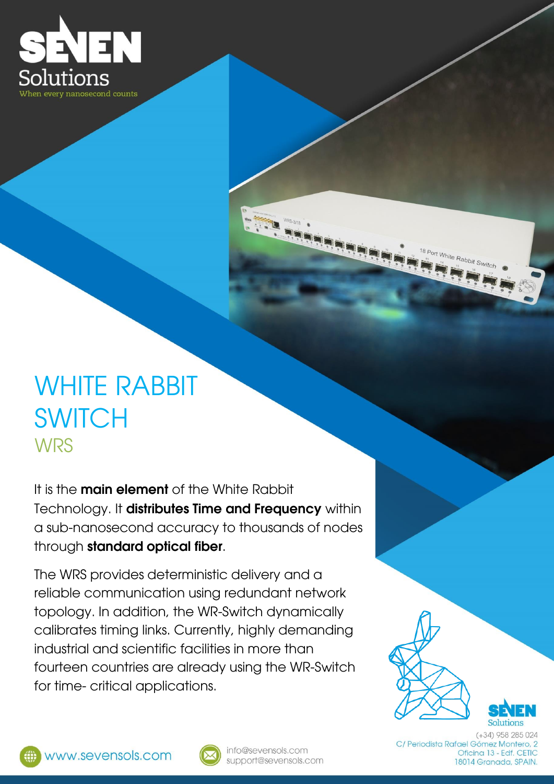

## WHITE RABBIT **SWITCH WRS**

It is the **main element** of the White Rabbit Technology. It **distributes Time and Frequency** within a sub-nanosecond accuracy to thousands of nodes through **standard optical fiber**.

The WRS provides deterministic delivery and a reliable communication using redundant network topology. In addition, the WR-Switch dynamically calibrates timing links. Currently, highly demanding industrial and scientific facilities in more than fourteen countries are already using the WR-Switch for time- critical applications.



<sup>it</sup> White Rabbit Switch





info@sevensols.com support@sevensols.com

 $(+34)$  958 285 024 C/ Periodista Rafael Gómez Montero, 2 Oficina 13 - Edf. CETIC 18014 Granada, SPAIN.